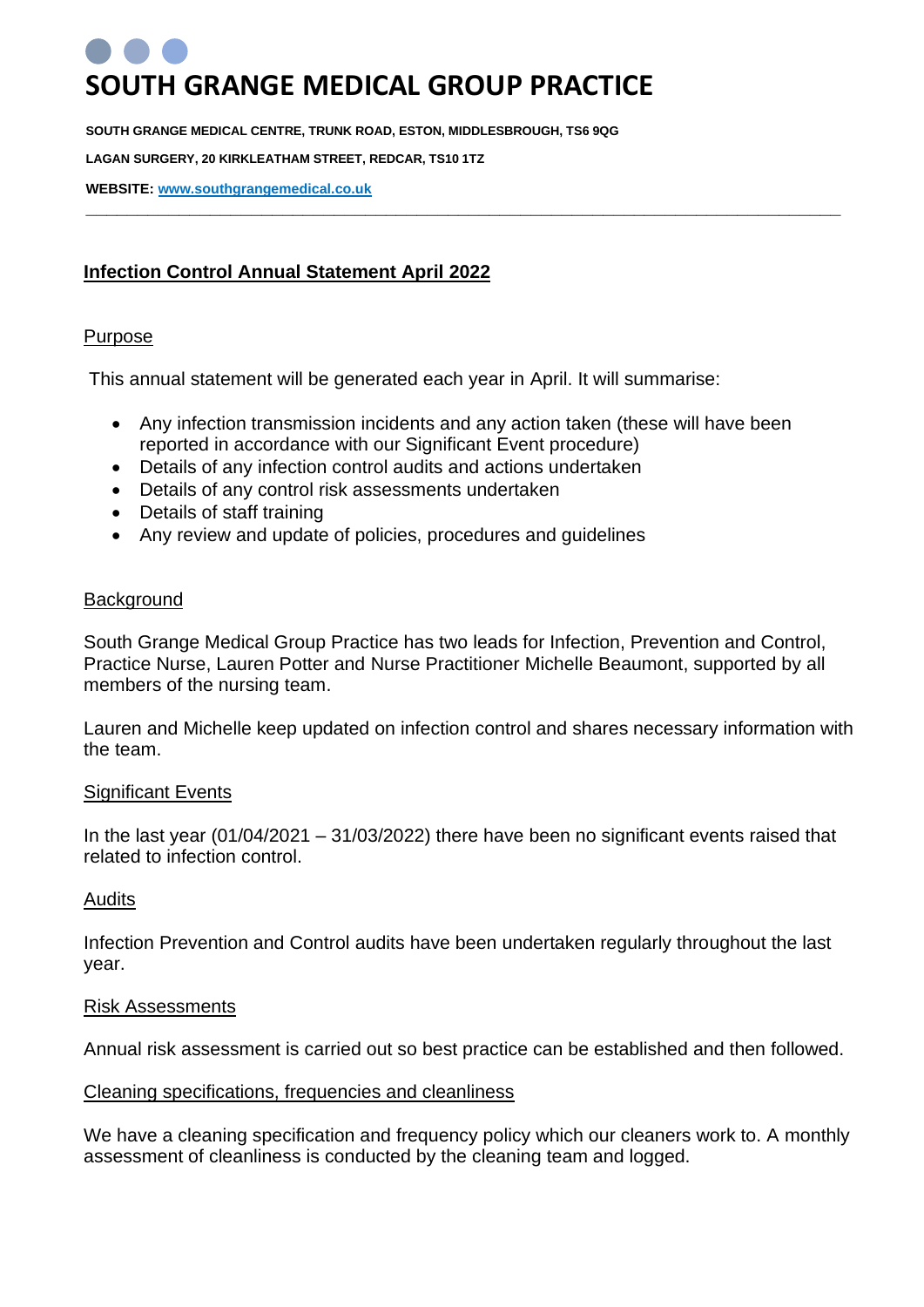# **SOUTH GRANGE MEDICAL GROUP PRACTICE**

**SOUTH GRANGE MEDICAL CENTRE, TRUNK ROAD, ESTON, MIDDLESBROUGH, TS6 9QG** 

**LAGAN SURGERY, 20 KIRKLEATHAM STREET, REDCAR, TS10 1TZ** 

**WEBSITE: [www.southgrangemedical.co.uk](http://www.southgrangemedical.co.uk/)**

# **Infection Control Annual Statement April 2022**

#### Purpose

This annual statement will be generated each year in April. It will summarise:

• Any infection transmission incidents and any action taken (these will have been reported in accordance with our Significant Event procedure)

**\_\_\_\_\_\_\_\_\_\_\_\_\_\_\_\_\_\_\_\_\_\_\_\_\_\_\_\_\_\_\_\_\_\_\_\_\_\_\_\_\_\_\_\_\_\_\_\_\_\_\_\_\_\_\_\_\_\_\_\_\_\_\_\_\_\_\_\_\_\_\_\_\_**

- Details of any infection control audits and actions undertaken
- Details of any control risk assessments undertaken
- Details of staff training
- Any review and update of policies, procedures and guidelines

#### **Background**

South Grange Medical Group Practice has two leads for Infection, Prevention and Control, Practice Nurse, Lauren Potter and Nurse Practitioner Michelle Beaumont, supported by all members of the nursing team.

Lauren and Michelle keep updated on infection control and shares necessary information with the team.

#### Significant Events

In the last year  $(01/04/2021 - 31/03/2022)$  there have been no significant events raised that related to infection control.

#### Audits

Infection Prevention and Control audits have been undertaken regularly throughout the last year.

#### Risk Assessments

Annual risk assessment is carried out so best practice can be established and then followed.

#### Cleaning specifications, frequencies and cleanliness

We have a cleaning specification and frequency policy which our cleaners work to. A monthly assessment of cleanliness is conducted by the cleaning team and logged.